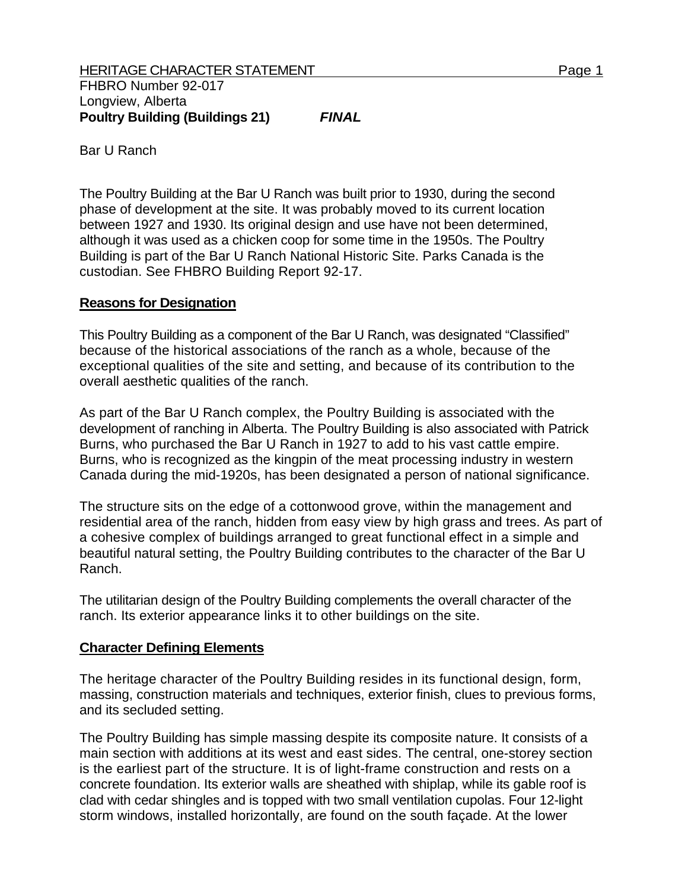Bar U Ranch

The Poultry Building at the Bar U Ranch was built prior to 1930, during the second phase of development at the site. It was probably moved to its current location between 1927 and 1930. Its original design and use have not been determined, although it was used as a chicken coop for some time in the 1950s. The Poultry Building is part of the Bar U Ranch National Historic Site. Parks Canada is the custodian. See FHBRO Building Report 92-17.

## **Reasons for Designation**

This Poultry Building as a component of the Bar U Ranch, was designated "Classified" because of the historical associations of the ranch as a whole, because of the exceptional qualities of the site and setting, and because of its contribution to the overall aesthetic qualities of the ranch.

As part of the Bar U Ranch complex, the Poultry Building is associated with the development of ranching in Alberta. The Poultry Building is also associated with Patrick Burns, who purchased the Bar U Ranch in 1927 to add to his vast cattle empire. Burns, who is recognized as the kingpin of the meat processing industry in western Canada during the mid-1920s, has been designated a person of national significance.

The structure sits on the edge of a cottonwood grove, within the management and residential area of the ranch, hidden from easy view by high grass and trees. As part of a cohesive complex of buildings arranged to great functional effect in a simple and beautiful natural setting, the Poultry Building contributes to the character of the Bar U Ranch.

The utilitarian design of the Poultry Building complements the overall character of the ranch. Its exterior appearance links it to other buildings on the site.

## **Character Defining Elements**

The heritage character of the Poultry Building resides in its functional design, form, massing, construction materials and techniques, exterior finish, clues to previous forms, and its secluded setting.

The Poultry Building has simple massing despite its composite nature. It consists of a main section with additions at its west and east sides. The central, one-storey section is the earliest part of the structure. It is of light-frame construction and rests on a concrete foundation. Its exterior walls are sheathed with shiplap, while its gable roof is clad with cedar shingles and is topped with two small ventilation cupolas. Four 12-light storm windows, installed horizontally, are found on the south façade. At the lower